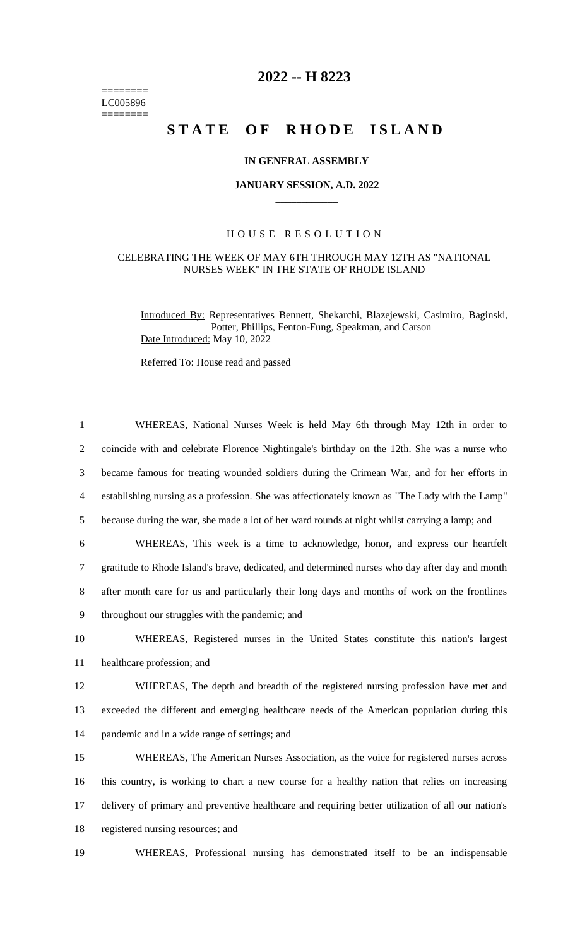======== LC005896  $=$ 

# **2022 -- H 8223**

# STATE OF RHODE ISLAND

#### **IN GENERAL ASSEMBLY**

### **JANUARY SESSION, A.D. 2022 \_\_\_\_\_\_\_\_\_\_\_\_**

## H O U S E R E S O L U T I O N

#### CELEBRATING THE WEEK OF MAY 6TH THROUGH MAY 12TH AS "NATIONAL NURSES WEEK" IN THE STATE OF RHODE ISLAND

Introduced By: Representatives Bennett, Shekarchi, Blazejewski, Casimiro, Baginski, Potter, Phillips, Fenton-Fung, Speakman, and Carson Date Introduced: May 10, 2022

Referred To: House read and passed

| $\mathbf{1}$   | WHEREAS, National Nurses Week is held May 6th through May 12th in order to                         |
|----------------|----------------------------------------------------------------------------------------------------|
| $\overline{2}$ | coincide with and celebrate Florence Nightingale's birthday on the 12th. She was a nurse who       |
| 3              | became famous for treating wounded soldiers during the Crimean War, and for her efforts in         |
| 4              | establishing nursing as a profession. She was affectionately known as "The Lady with the Lamp"     |
| 5              | because during the war, she made a lot of her ward rounds at night whilst carrying a lamp; and     |
| 6              | WHEREAS, This week is a time to acknowledge, honor, and express our heartfelt                      |
| 7              | gratitude to Rhode Island's brave, dedicated, and determined nurses who day after day and month    |
| 8              | after month care for us and particularly their long days and months of work on the frontlines      |
| 9              | throughout our struggles with the pandemic; and                                                    |
| 10             | WHEREAS, Registered nurses in the United States constitute this nation's largest                   |
| 11             | healthcare profession; and                                                                         |
| 12             | WHEREAS, The depth and breadth of the registered nursing profession have met and                   |
| 13             | exceeded the different and emerging healthcare needs of the American population during this        |
| 14             | pandemic and in a wide range of settings; and                                                      |
| 15             | WHEREAS, The American Nurses Association, as the voice for registered nurses across                |
| 16             | this country, is working to chart a new course for a healthy nation that relies on increasing      |
| 17             | delivery of primary and preventive healthcare and requiring better utilization of all our nation's |
| 18             | registered nursing resources; and                                                                  |
| 19             | WHEREAS, Professional nursing has demonstrated itself to be an indispensable                       |